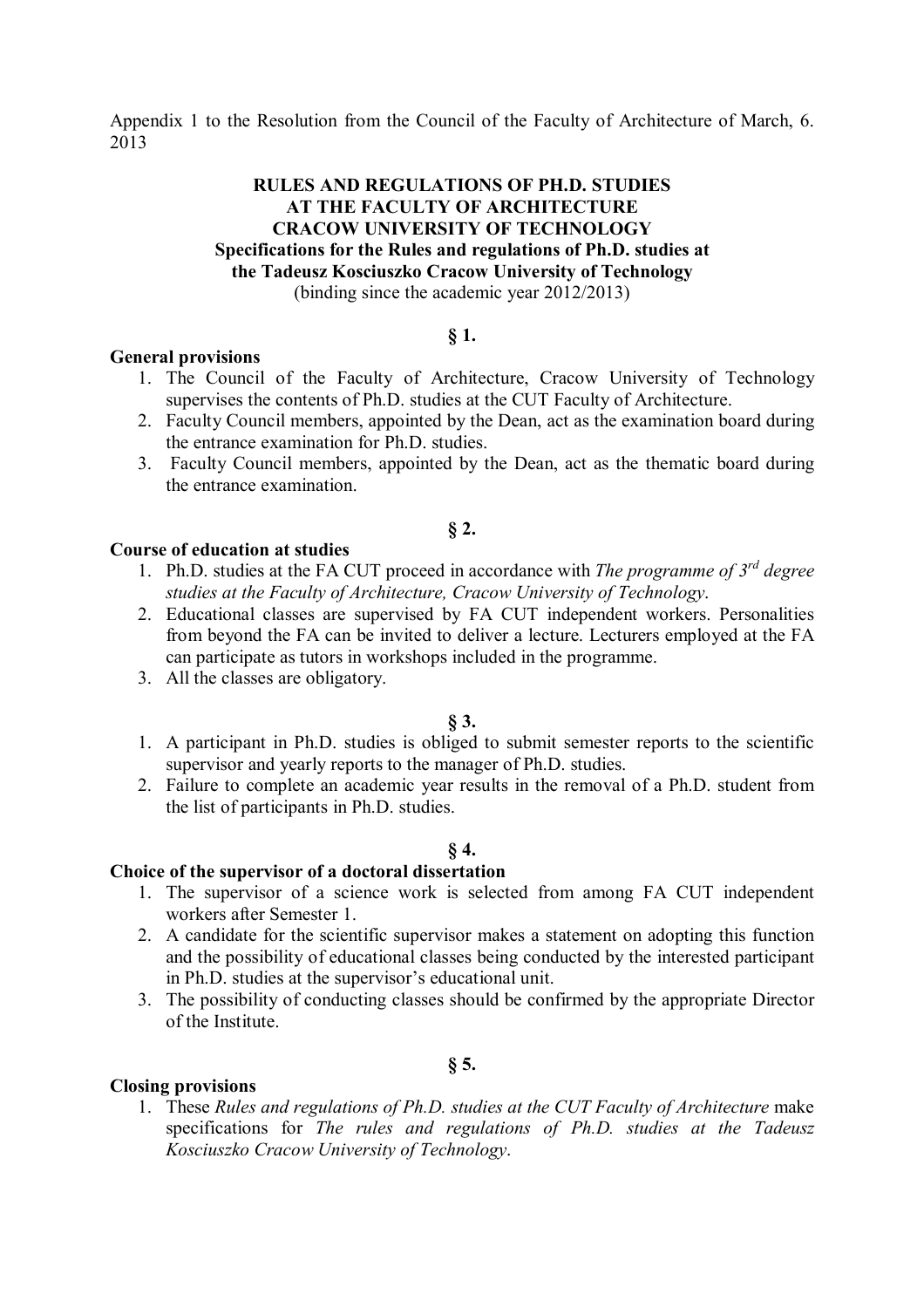Appendix 1 to the Resolution from the Council of the Faculty of Architecture of March, 6. 2013

## **RULES AND REGULATIONS OF PH.D. STUDIES AT THE FACULTY OF ARCHITECTURE CRACOW UNIVERSITY OF TECHNOLOGY Specifications for the Rules and regulations of Ph.D. studies at the Tadeusz Kosciuszko Cracow University of Technology** (binding since the academic year 2012/2013)

## **§ 1.**

## **General provisions**

- 1. The Council of the Faculty of Architecture, Cracow University of Technology supervises the contents of Ph.D. studies at the CUT Faculty of Architecture.
- 2. Faculty Council members, appointed by the Dean, act as the examination board during the entrance examination for Ph.D. studies.
- 3. Faculty Council members, appointed by the Dean, act as the thematic board during the entrance examination.

## **§ 2.**

## **Course of education at studies**

- 1. Ph.D. studies at the FA CUT proceed in accordance with *The programme of 3rd degree studies at the Faculty of Architecture, Cracow University of Technology*.
- 2. Educational classes are supervised by FA CUT independent workers. Personalities from beyond the FA can be invited to deliver a lecture. Lecturers employed at the FA can participate as tutors in workshops included in the programme.
- 3. All the classes are obligatory.

#### **§ 3.**

- 1. A participant in Ph.D. studies is obliged to submit semester reports to the scientific supervisor and yearly reports to the manager of Ph.D. studies.
- 2. Failure to complete an academic year results in the removal of a Ph.D. student from the list of participants in Ph.D. studies.

#### **§ 4.**

# **Choice of the supervisor of a doctoral dissertation**

- 1. The supervisor of a science work is selected from among FA CUT independent workers after Semester 1.
- 2. A candidate for the scientific supervisor makes a statement on adopting this function and the possibility of educational classes being conducted by the interested participant in Ph.D. studies at the supervisor's educational unit.
- 3. The possibility of conducting classes should be confirmed by the appropriate Director of the Institute.

## **§ 5.**

#### **Closing provisions**

1. These *Rules and regulations of Ph.D. studies at the CUT Faculty of Architecture* make specifications for *The rules and regulations of Ph.D. studies at the Tadeusz Kosciuszko Cracow University of Technology*.